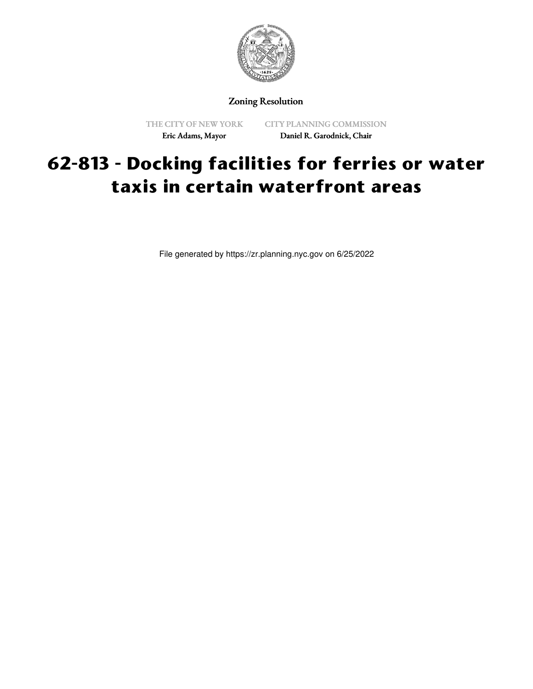

# Zoning Resolution

THE CITY OF NEW YORK Eric Adams, Mayor

CITY PLANNING COMMISSION Daniel R. Garodnick, Chair

# **62-813 - Docking facilities for ferries or water taxis in certain waterfront areas**

File generated by https://zr.planning.nyc.gov on 6/25/2022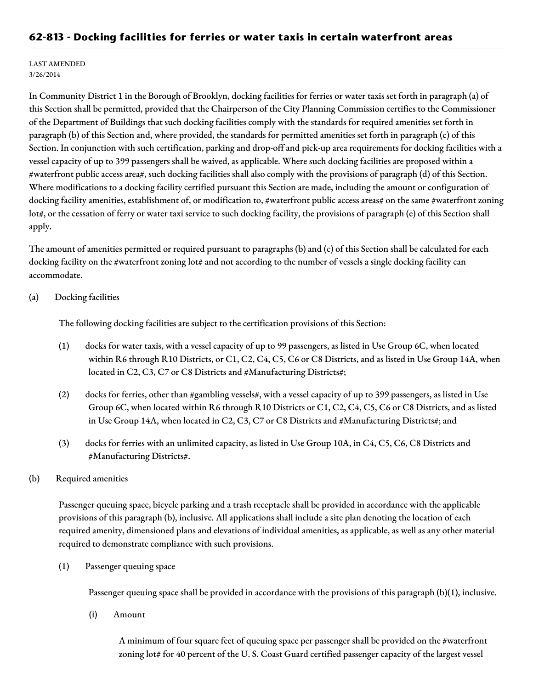## **62-813 - Docking facilities for ferries or water taxis in certain waterfront areas**

#### LAST AMENDED 3/26/2014

In Community District 1 in the Borough of Brooklyn, docking facilities for ferries or water taxis set forth in paragraph (a) of this Section shall be permitted, provided that the Chairperson of the City Planning Commission certifies to the Commissioner of the Department of Buildings that such docking facilities comply with the standards for required amenities set forth in paragraph (b) of this Section and, where provided, the standards for permitted amenities set forth in paragraph (c) of this Section. In conjunction with such certification, parking and drop-off and pick-up area requirements for docking facilities with a vessel capacity of up to 399 passengers shall be waived, as applicable. Where such docking facilities are proposed within a #waterfront public access area#, such docking facilities shall also comply with the provisions of paragraph (d) of this Section. Where modifications to a docking facility certified pursuant this Section are made, including the amount or configuration of docking facility amenities, establishment of, or modification to, #waterfront public access areas# on the same #waterfront zoning lot#, or the cessation of ferry or water taxi service to such docking facility, the provisions of paragraph (e) of this Section shall apply.

The amount of amenities permitted or required pursuant to paragraphs (b) and (c) of this Section shall be calculated for each docking facility on the #waterfront zoning lot# and not according to the number of vessels a single docking facility can accommodate.

### (a) Docking facilities

The following docking facilities are subject to the certification provisions of this Section:

- (1) docks for water taxis, with a vessel capacity of up to 99 passengers, as listed in Use Group 6C, when located within R6 through R10 Districts, or C1, C2, C4, C5, C6 or C8 Districts, and as listed in Use Group 14A, when located in C2, C3, C7 or C8 Districts and #Manufacturing Districts#;
- (2) docks for ferries, other than #gambling vessels#, with a vessel capacity of up to 399 passengers, as listed in Use Group 6C, when located within R6 through R10 Districts or C1, C2, C4, C5, C6 or C8 Districts, and as listed in Use Group 14A, when located in C2, C3, C7 or C8 Districts and #Manufacturing Districts#; and
- (3) docks for ferries with an unlimited capacity, as listed in Use Group 10A, in C4, C5, C6, C8 Districts and #Manufacturing Districts#.

### (b) Required amenities

Passenger queuing space, bicycle parking and a trash receptacle shall be provided in accordance with the applicable provisions of this paragraph (b), inclusive. All applications shall include a site plan denoting the location of each required amenity, dimensioned plans and elevations of individual amenities, as applicable, as well as any other material required to demonstrate compliance with such provisions.

(1) Passenger queuing space

Passenger queuing space shall be provided in accordance with the provisions of this paragraph (b)(1), inclusive.

(i) Amount

A minimum of four square feet of queuing space per passenger shall be provided on the #waterfront zoning lot# for 40 percent of the U. S. Coast Guard certified passenger capacity of the largest vessel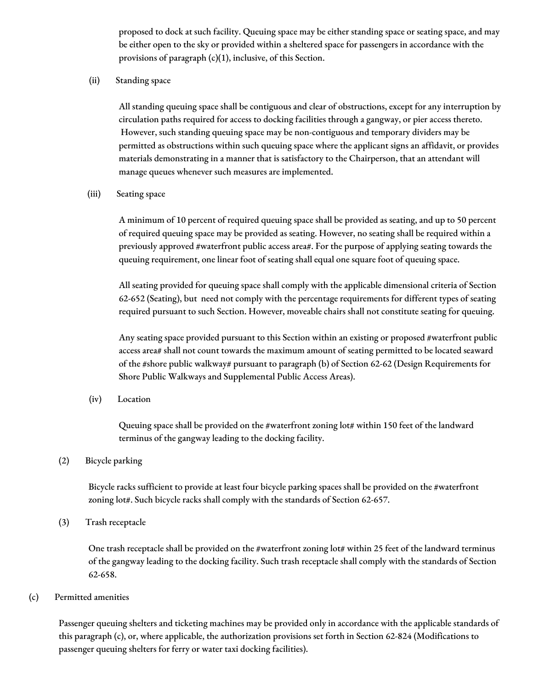proposed to dock at such facility. Queuing space may be either standing space or seating space, and may be either open to the sky or provided within a sheltered space for passengers in accordance with the provisions of paragraph (c)(1), inclusive, of this Section.

(ii) Standing space

All standing queuing space shall be contiguous and clear of obstructions, except for any interruption by circulation paths required for access to docking facilities through a gangway, or pier access thereto. However, such standing queuing space may be non-contiguous and temporary dividers may be permitted as obstructions within such queuing space where the applicant signs an affidavit, or provides materials demonstrating in a manner that is satisfactory to the Chairperson, that an attendant will manage queues whenever such measures are implemented.

(iii) Seating space

A minimum of 10 percent of required queuing space shall be provided as seating, and up to 50 percent of required queuing space may be provided as seating. However, no seating shall be required within a previously approved #waterfront public access area#. For the purpose of applying seating towards the queuing requirement, one linear foot of seating shall equal one square foot of queuing space.

All seating provided for queuing space shall comply with the applicable dimensional criteria of Section 62-652 (Seating), but need not comply with the percentage requirements for different types of seating required pursuant to such Section. However, moveable chairs shall not constitute seating for queuing.

Any seating space provided pursuant to this Section within an existing or proposed #waterfront public access area# shall not count towards the maximum amount of seating permitted to be located seaward of the #shore public walkway# pursuant to paragraph (b) of Section 62-62 (Design Requirements for Shore Public Walkways and Supplemental Public Access Areas).

(iv) Location

Queuing space shall be provided on the #waterfront zoning lot# within 150 feet of the landward terminus of the gangway leading to the docking facility.

(2) Bicycle parking

Bicycle racks sufficient to provide at least four bicycle parking spaces shall be provided on the #waterfront zoning lot#. Such bicycle racks shall comply with the standards of Section 62-657.

(3) Trash receptacle

One trash receptacle shall be provided on the #waterfront zoning lot# within 25 feet of the landward terminus of the gangway leading to the docking facility. Such trash receptacle shall comply with the standards of Section 62-658.

(c) Permitted amenities

Passenger queuing shelters and ticketing machines may be provided only in accordance with the applicable standards of this paragraph (c), or, where applicable, the authorization provisions set forth in Section 62-824 (Modifications to passenger queuing shelters for ferry or water taxi docking facilities).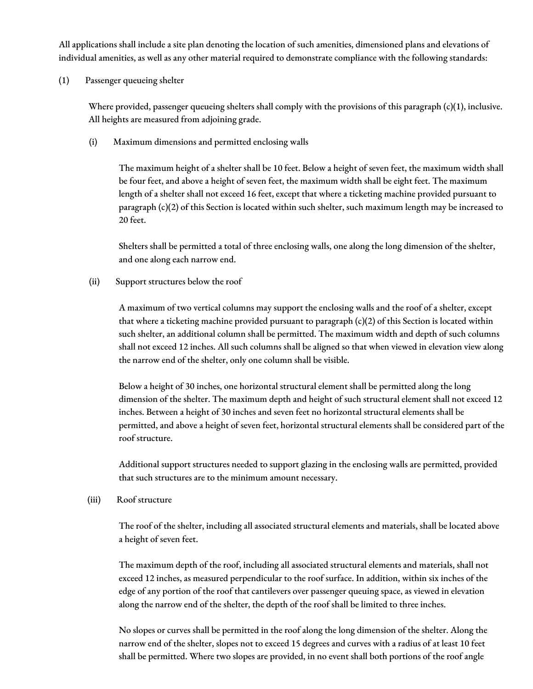All applications shall include a site plan denoting the location of such amenities, dimensioned plans and elevations of individual amenities, as well as any other material required to demonstrate compliance with the following standards:

(1) Passenger queueing shelter

Where provided, passenger queueing shelters shall comply with the provisions of this paragraph (c)(1), inclusive. All heights are measured from adjoining grade.

(i) Maximum dimensions and permitted enclosing walls

The maximum height of a shelter shall be 10 feet. Below a height of seven feet, the maximum width shall be four feet, and above a height of seven feet, the maximum width shall be eight feet. The maximum length of a shelter shall not exceed 16 feet, except that where a ticketing machine provided pursuant to paragraph (c)(2) of this Section is located within such shelter, such maximum length may be increased to 20 feet.

Shelters shall be permitted a total of three enclosing walls, one along the long dimension of the shelter, and one along each narrow end.

(ii) Support structures below the roof

A maximum of two vertical columns may support the enclosing walls and the roof of a shelter, except that where a ticketing machine provided pursuant to paragraph  $(c)(2)$  of this Section is located within such shelter, an additional column shall be permitted. The maximum width and depth of such columns shall not exceed 12 inches. All such columns shall be aligned so that when viewed in elevation view along the narrow end of the shelter, only one column shall be visible.

Below a height of 30 inches, one horizontal structural element shall be permitted along the long dimension of the shelter. The maximum depth and height of such structural element shall not exceed 12 inches. Between a height of 30 inches and seven feet no horizontal structural elements shall be permitted, and above a height of seven feet, horizontal structural elements shall be considered part of the roof structure.

Additional support structures needed to support glazing in the enclosing walls are permitted, provided that such structures are to the minimum amount necessary.

(iii) Roof structure

The roof of the shelter, including all associated structural elements and materials, shall be located above a height of seven feet.

The maximum depth of the roof, including all associated structural elements and materials, shall not exceed 12 inches, as measured perpendicular to the roof surface. In addition, within six inches of the edge of any portion of the roof that cantilevers over passenger queuing space, as viewed in elevation along the narrow end of the shelter, the depth of the roof shall be limited to three inches.

No slopes or curves shall be permitted in the roof along the long dimension of the shelter. Along the narrow end of the shelter, slopes not to exceed 15 degrees and curves with a radius of at least 10 feet shall be permitted. Where two slopes are provided, in no event shall both portions of the roof angle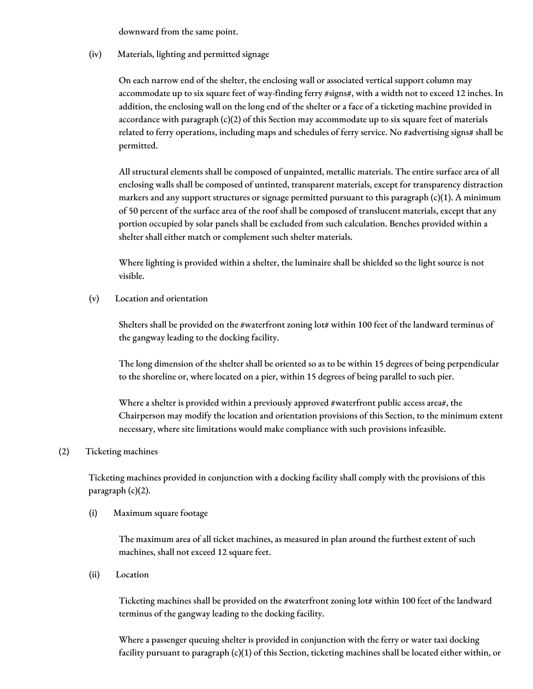downward from the same point.

(iv) Materials, lighting and permitted signage

On each narrow end of the shelter, the enclosing wall or associated vertical support column may accommodate up to six square feet of way-finding ferry #signs#, with a width not to exceed 12 inches. In addition, the enclosing wall on the long end of the shelter or a face of a ticketing machine provided in accordance with paragraph (c)(2) of this Section may accommodate up to six square feet of materials related to ferry operations, including maps and schedules of ferry service. No #advertising signs# shall be permitted.

All structural elements shall be composed of unpainted, metallic materials. The entire surface area of all enclosing walls shall be composed of untinted, transparent materials, except for transparency distraction markers and any support structures or signage permitted pursuant to this paragraph  $(c)(1)$ . A minimum of 50 percent of the surface area of the roof shall be composed of translucent materials, except that any portion occupied by solar panels shall be excluded from such calculation. Benches provided within a shelter shall either match or complement such shelter materials.

Where lighting is provided within a shelter, the luminaire shall be shielded so the light source is not visible.

(v) Location and orientation

Shelters shall be provided on the #waterfront zoning lot# within 100 feet of the landward terminus of the gangway leading to the docking facility.

The long dimension of the shelter shall be oriented so as to be within 15 degrees of being perpendicular to the shoreline or, where located on a pier, within 15 degrees of being parallel to such pier.

Where a shelter is provided within a previously approved #waterfront public access area#, the Chairperson may modify the location and orientation provisions of this Section, to the minimum extent necessary, where site limitations would make compliance with such provisions infeasible.

### (2) Ticketing machines

Ticketing machines provided in conjunction with a docking facility shall comply with the provisions of this paragraph (c)(2).

### (i) Maximum square footage

The maximum area of all ticket machines, as measured in plan around the furthest extent of such machines, shall not exceed 12 square feet.

(ii) Location

Ticketing machines shall be provided on the #waterfront zoning lot# within 100 feet of the landward terminus of the gangway leading to the docking facility.

Where a passenger queuing shelter is provided in conjunction with the ferry or water taxi docking facility pursuant to paragraph (c)(1) of this Section, ticketing machines shall be located either within, or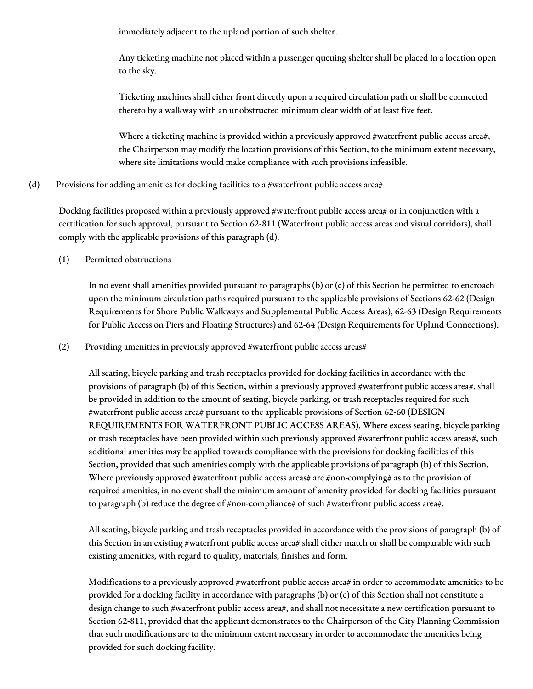immediately adjacent to the upland portion of such shelter.

Any ticketing machine not placed within a passenger queuing shelter shall be placed in a location open to the sky.

Ticketing machines shall either front directly upon a required circulation path or shall be connected thereto by a walkway with an unobstructed minimum clear width of at least five feet.

Where a ticketing machine is provided within a previously approved #waterfront public access area#, the Chairperson may modify the location provisions of this Section, to the minimum extent necessary, where site limitations would make compliance with such provisions infeasible.

(d) Provisions for adding amenities for docking facilities to a #waterfront public access area#

Docking facilities proposed within a previously approved #waterfront public access area# or in conjunction with a certification for such approval, pursuant to Section 62-811 (Waterfront public access areas and visual corridors), shall comply with the applicable provisions of this paragraph (d).

(1) Permitted obstructions

In no event shall amenities provided pursuant to paragraphs (b) or (c) of this Section be permitted to encroach upon the minimum circulation paths required pursuant to the applicable provisions of Sections 62-62 (Design Requirements for Shore Public Walkways and Supplemental Public Access Areas), 62-63 (Design Requirements for Public Access on Piers and Floating Structures) and 62-64 (Design Requirements for Upland Connections).

(2) Providing amenities in previously approved #waterfront public access areas#

All seating, bicycle parking and trash receptacles provided for docking facilities in accordance with the provisions of paragraph (b) of this Section, within a previously approved #waterfront public access area#, shall be provided in addition to the amount of seating, bicycle parking, or trash receptacles required for such #waterfront public access area# pursuant to the applicable provisions of Section 62-60 (DESIGN REQUIREMENTS FOR WATERFRONT PUBLIC ACCESS AREAS). Where excess seating, bicycle parking or trash receptacles have been provided within such previously approved #waterfront public access areas#, such additional amenities may be applied towards compliance with the provisions for docking facilities of this Section, provided that such amenities comply with the applicable provisions of paragraph (b) of this Section. Where previously approved #waterfront public access areas# are #non-complying# as to the provision of required amenities, in no event shall the minimum amount of amenity provided for docking facilities pursuant to paragraph (b) reduce the degree of #non-compliance# of such #waterfront public access area#.

All seating, bicycle parking and trash receptacles provided in accordance with the provisions of paragraph (b) of this Section in an existing #waterfront public access area# shall either match or shall be comparable with such existing amenities, with regard to quality, materials, finishes and form.

Modifications to a previously approved #waterfront public access area# in order to accommodate amenities to be provided for a docking facility in accordance with paragraphs (b) or (c) of this Section shall not constitute a design change to such #waterfront public access area#, and shall not necessitate a new certification pursuant to Section 62-811, provided that the applicant demonstrates to the Chairperson of the City Planning Commission that such modifications are to the minimum extent necessary in order to accommodate the amenities being provided for such docking facility.